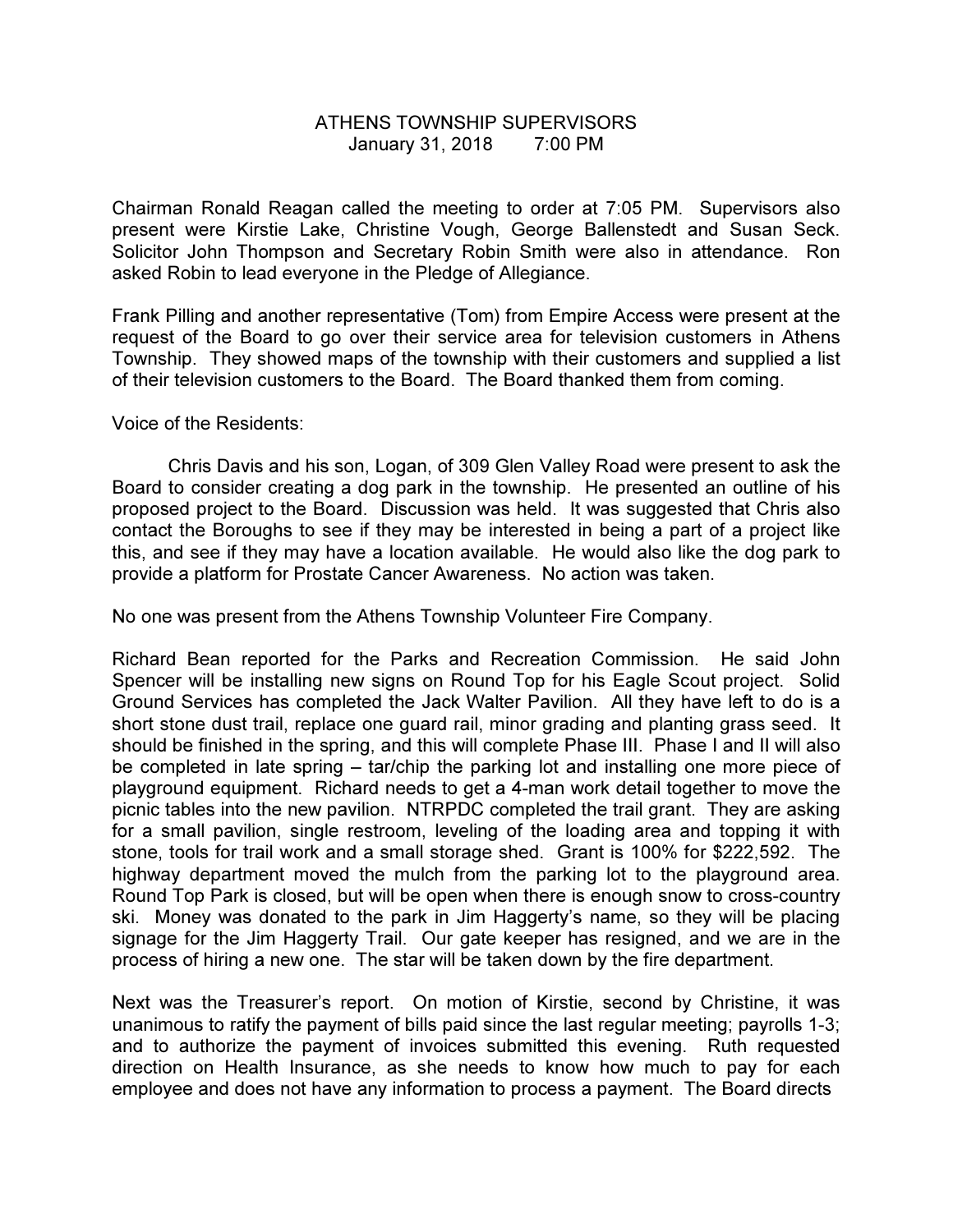## ATHENS TOWNSHIP SUPERVISORS January 31, 2018 7:00 PM

Chairman Ronald Reagan called the meeting to order at 7:05 PM. Supervisors also present were Kirstie Lake, Christine Vough, George Ballenstedt and Susan Seck. Solicitor John Thompson and Secretary Robin Smith were also in attendance. Ron asked Robin to lead everyone in the Pledge of Allegiance.

Frank Pilling and another representative (Tom) from Empire Access were present at the request of the Board to go over their service area for television customers in Athens Township. They showed maps of the township with their customers and supplied a list of their television customers to the Board. The Board thanked them from coming.

## Voice of the Residents:

 Chris Davis and his son, Logan, of 309 Glen Valley Road were present to ask the Board to consider creating a dog park in the township. He presented an outline of his proposed project to the Board. Discussion was held. It was suggested that Chris also contact the Boroughs to see if they may be interested in being a part of a project like this, and see if they may have a location available. He would also like the dog park to provide a platform for Prostate Cancer Awareness. No action was taken.

No one was present from the Athens Township Volunteer Fire Company.

Richard Bean reported for the Parks and Recreation Commission. He said John Spencer will be installing new signs on Round Top for his Eagle Scout project. Solid Ground Services has completed the Jack Walter Pavilion. All they have left to do is a short stone dust trail, replace one guard rail, minor grading and planting grass seed. It should be finished in the spring, and this will complete Phase III. Phase I and II will also be completed in late spring – tar/chip the parking lot and installing one more piece of playground equipment. Richard needs to get a 4-man work detail together to move the picnic tables into the new pavilion. NTRPDC completed the trail grant. They are asking for a small pavilion, single restroom, leveling of the loading area and topping it with stone, tools for trail work and a small storage shed. Grant is 100% for \$222,592. The highway department moved the mulch from the parking lot to the playground area. Round Top Park is closed, but will be open when there is enough snow to cross-country ski. Money was donated to the park in Jim Haggerty's name, so they will be placing signage for the Jim Haggerty Trail. Our gate keeper has resigned, and we are in the process of hiring a new one. The star will be taken down by the fire department.

Next was the Treasurer's report. On motion of Kirstie, second by Christine, it was unanimous to ratify the payment of bills paid since the last regular meeting; payrolls 1-3; and to authorize the payment of invoices submitted this evening. Ruth requested direction on Health Insurance, as she needs to know how much to pay for each employee and does not have any information to process a payment. The Board directs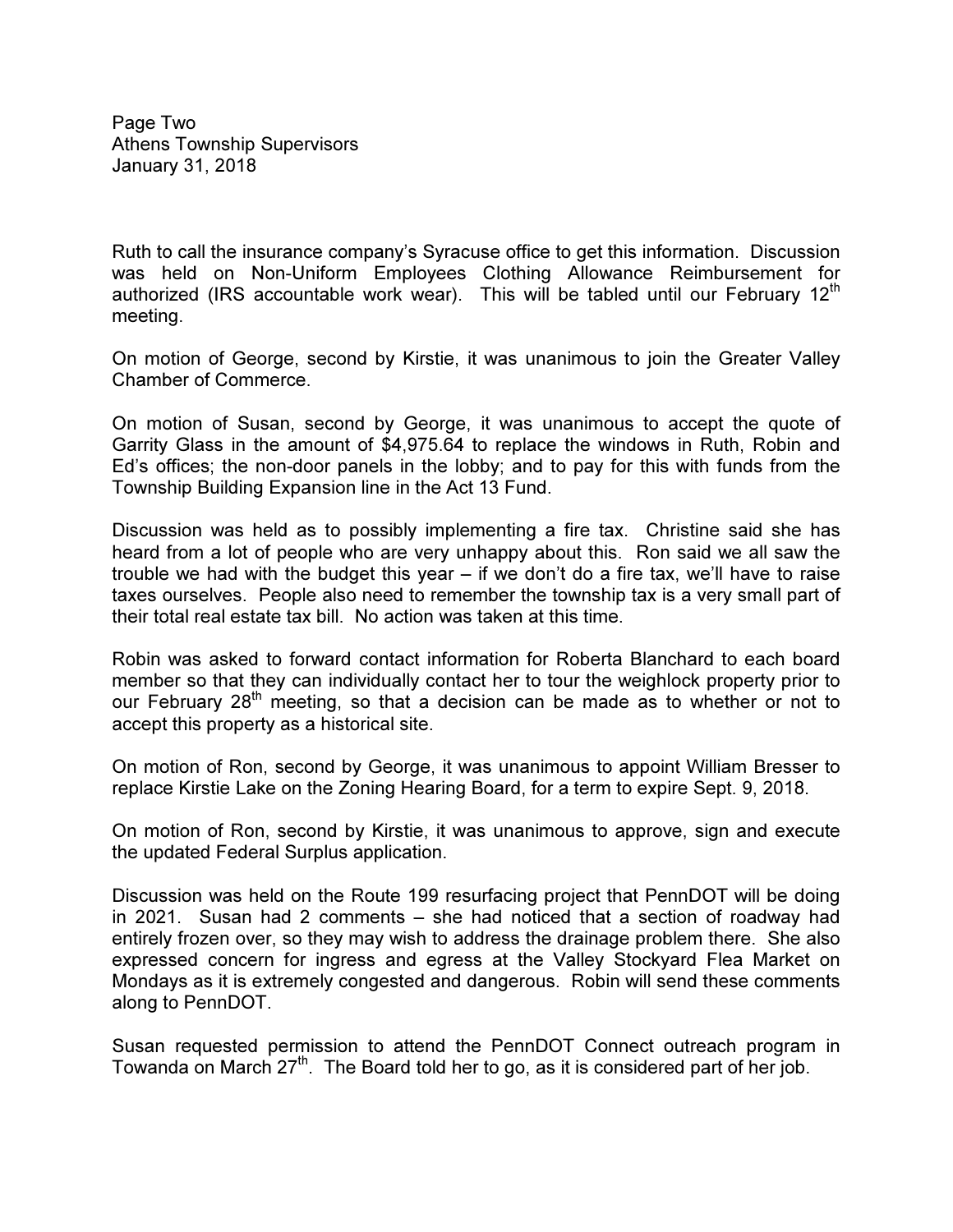Page Two Athens Township Supervisors January 31, 2018

Ruth to call the insurance company's Syracuse office to get this information. Discussion was held on Non-Uniform Employees Clothing Allowance Reimbursement for authorized (IRS accountable work wear). This will be tabled until our February  $12<sup>th</sup>$ meeting.

On motion of George, second by Kirstie, it was unanimous to join the Greater Valley Chamber of Commerce.

On motion of Susan, second by George, it was unanimous to accept the quote of Garrity Glass in the amount of \$4,975.64 to replace the windows in Ruth, Robin and Ed's offices; the non-door panels in the lobby; and to pay for this with funds from the Township Building Expansion line in the Act 13 Fund.

Discussion was held as to possibly implementing a fire tax. Christine said she has heard from a lot of people who are very unhappy about this. Ron said we all saw the trouble we had with the budget this year – if we don't do a fire tax, we'll have to raise taxes ourselves. People also need to remember the township tax is a very small part of their total real estate tax bill. No action was taken at this time.

Robin was asked to forward contact information for Roberta Blanchard to each board member so that they can individually contact her to tour the weighlock property prior to our February  $28<sup>th</sup>$  meeting, so that a decision can be made as to whether or not to accept this property as a historical site.

On motion of Ron, second by George, it was unanimous to appoint William Bresser to replace Kirstie Lake on the Zoning Hearing Board, for a term to expire Sept. 9, 2018.

On motion of Ron, second by Kirstie, it was unanimous to approve, sign and execute the updated Federal Surplus application.

Discussion was held on the Route 199 resurfacing project that PennDOT will be doing in 2021. Susan had 2 comments – she had noticed that a section of roadway had entirely frozen over, so they may wish to address the drainage problem there. She also expressed concern for ingress and egress at the Valley Stockyard Flea Market on Mondays as it is extremely congested and dangerous. Robin will send these comments along to PennDOT.

Susan requested permission to attend the PennDOT Connect outreach program in Towanda on March  $27<sup>th</sup>$ . The Board told her to go, as it is considered part of her job.